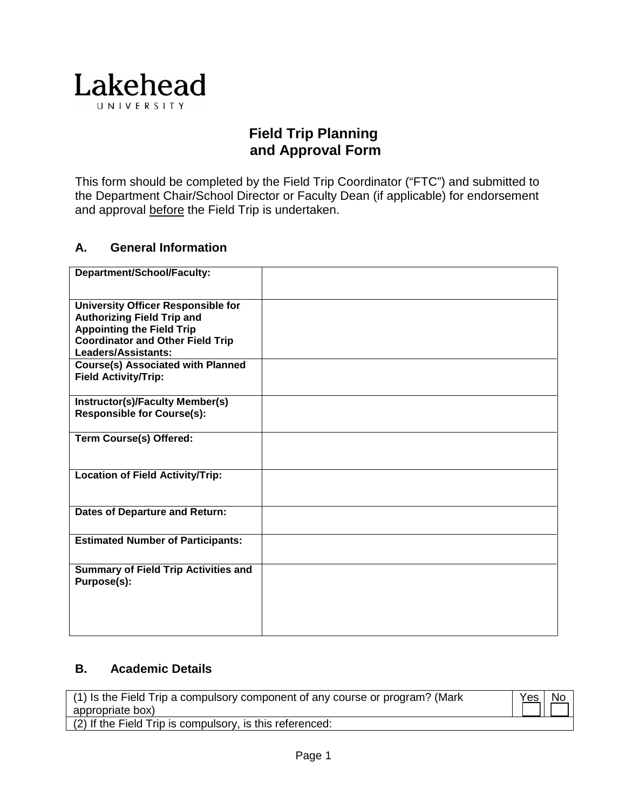

# **Field Trip Planning and Approval Form**

This form should be completed by the Field Trip Coordinator ("FTC") and submitted to the Department Chair/School Director or Faculty Dean (if applicable) for endorsement and approval before the Field Trip is undertaken.

### **A. General Information**

| Department/School/Faculty:                                                                                                                                    |  |
|---------------------------------------------------------------------------------------------------------------------------------------------------------------|--|
| <b>University Officer Responsible for</b><br><b>Authorizing Field Trip and</b><br><b>Appointing the Field Trip</b><br><b>Coordinator and Other Field Trip</b> |  |
| Leaders/Assistants:<br><b>Course(s) Associated with Planned</b>                                                                                               |  |
| <b>Field Activity/Trip:</b>                                                                                                                                   |  |
| Instructor(s)/Faculty Member(s)<br><b>Responsible for Course(s):</b>                                                                                          |  |
| <b>Term Course(s) Offered:</b>                                                                                                                                |  |
| <b>Location of Field Activity/Trip:</b>                                                                                                                       |  |
| Dates of Departure and Return:                                                                                                                                |  |
| <b>Estimated Number of Participants:</b>                                                                                                                      |  |
| <b>Summary of Field Trip Activities and</b><br>Purpose(s):                                                                                                    |  |

### **B. Academic Details**

| (1) Is the Field Trip a compulsory component of any course or program? (Mark | Yes   No |  |
|------------------------------------------------------------------------------|----------|--|
| appropriate box)                                                             |          |  |
| (2) If the Field Trip is compulsory, is this referenced:                     |          |  |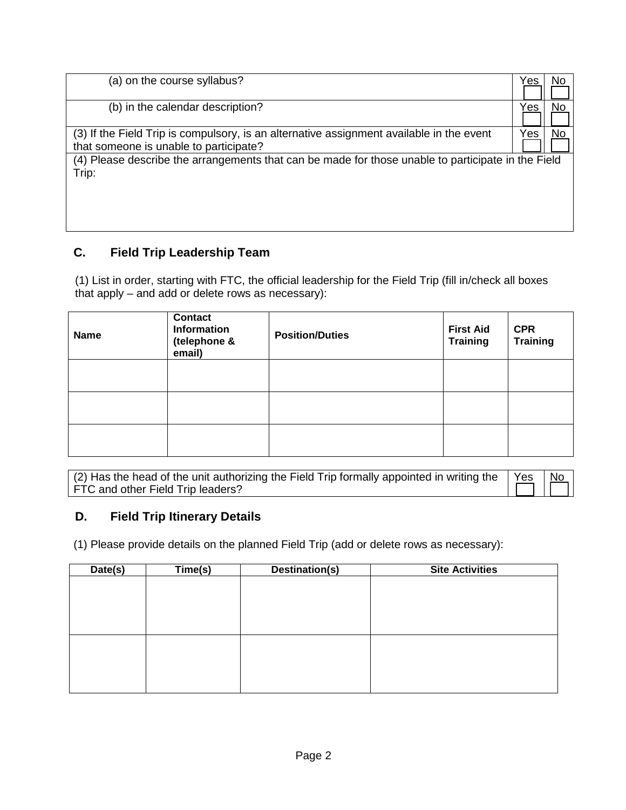| (a) on the course syllabus?                                                                                                        | ′es | No |
|------------------------------------------------------------------------------------------------------------------------------------|-----|----|
| (b) in the calendar description?                                                                                                   | 'es | No |
| (3) If the Field Trip is compulsory, is an alternative assignment available in the event<br>that someone is unable to participate? | Yes | No |
| (4) Please describe the arrangements that can be made for those unable to participate in the Field<br>Trip:                        |     |    |
|                                                                                                                                    |     |    |

## **C. Field Trip Leadership Team**

(1) List in order, starting with FTC, the official leadership for the Field Trip (fill in/check all boxes that apply – and add or delete rows as necessary):

| <b>Name</b> | <b>Contact</b><br><b>Information</b><br>(telephone &<br>email) | <b>Position/Duties</b> | <b>First Aid</b><br><b>Training</b> | <b>CPR</b><br><b>Training</b> |
|-------------|----------------------------------------------------------------|------------------------|-------------------------------------|-------------------------------|
|             |                                                                |                        |                                     |                               |
|             |                                                                |                        |                                     |                               |
|             |                                                                |                        |                                     |                               |

| (2) Has the head of the unit authorizing the Field Trip formally appointed in writing the $\vert$ Yes | No   |
|-------------------------------------------------------------------------------------------------------|------|
| FTC and other Field Trip leaders?                                                                     | THET |

### **D. Field Trip Itinerary Details**

(1) Please provide details on the planned Field Trip (add or delete rows as necessary):

| Date(s) | Time(s) | Destination(s) | <b>Site Activities</b> |
|---------|---------|----------------|------------------------|
|         |         |                |                        |
|         |         |                |                        |
|         |         |                |                        |
|         |         |                |                        |
|         |         |                |                        |
|         |         |                |                        |
|         |         |                |                        |
|         |         |                |                        |
|         |         |                |                        |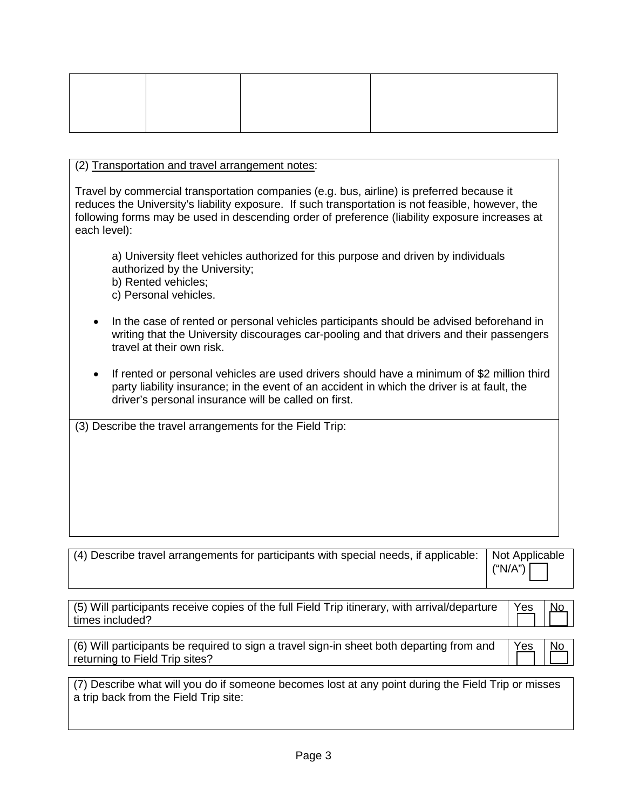#### (2) Transportation and travel arrangement notes:

Travel by commercial transportation companies (e.g. bus, airline) is preferred because it reduces the University's liability exposure. If such transportation is not feasible, however, the following forms may be used in descending order of preference (liability exposure increases at each level):

a) University fleet vehicles authorized for this purpose and driven by individuals authorized by the University;

b) Rented vehicles;

c) Personal vehicles.

- In the case of rented or personal vehicles participants should be advised beforehand in writing that the University discourages car-pooling and that drivers and their passengers travel at their own risk.
- If rented or personal vehicles are used drivers should have a minimum of \$2 million third party liability insurance; in the event of an accident in which the driver is at fault, the driver's personal insurance will be called on first.

(3) Describe the travel arrangements for the Field Trip:

| (4) Describe travel arrangements for participants with special needs, if applicable: Not Applicable | $\left  \right.$ ("N/A") $\left  \right. \left  \right.$ |
|-----------------------------------------------------------------------------------------------------|----------------------------------------------------------|
|-----------------------------------------------------------------------------------------------------|----------------------------------------------------------|

| $\mid$ (5) Will participants receive copies of the full Field Trip itinerary, with arrival/departure $\mid$ Yes | $\overline{\phantom{a}}$ No |
|-----------------------------------------------------------------------------------------------------------------|-----------------------------|
| times included?                                                                                                 |                             |

| $\mid$ (6) Will participants be required to sign a travel sign-in sheet both departing from and $\mid$ Yes | No |
|------------------------------------------------------------------------------------------------------------|----|
| returning to Field Trip sites?                                                                             |    |

(7) Describe what will you do if someone becomes lost at any point during the Field Trip or misses a trip back from the Field Trip site: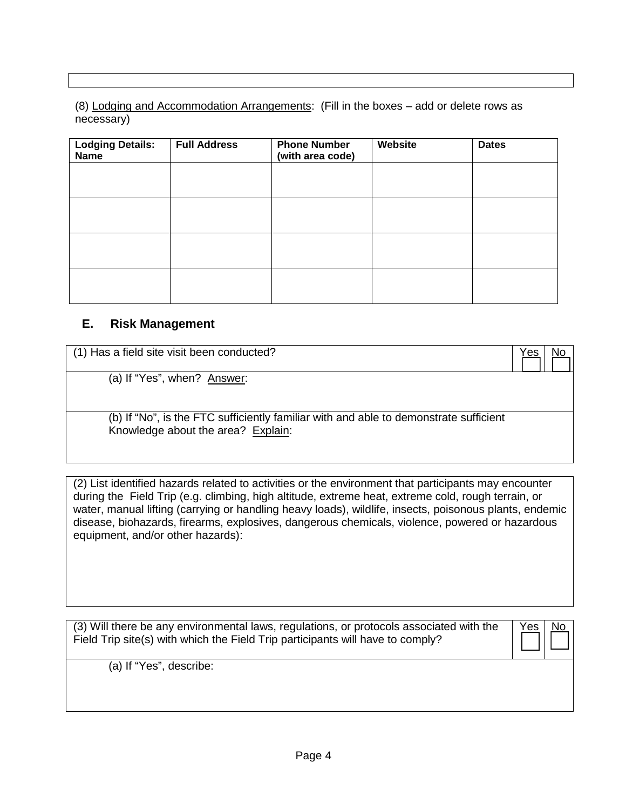(8) Lodging and Accommodation Arrangements: (Fill in the boxes – add or delete rows as necessary)

| <b>Lodging Details:</b><br><b>Name</b> | <b>Full Address</b> | <b>Phone Number</b><br>(with area code) | Website | <b>Dates</b> |
|----------------------------------------|---------------------|-----------------------------------------|---------|--------------|
|                                        |                     |                                         |         |              |
|                                        |                     |                                         |         |              |
|                                        |                     |                                         |         |              |
|                                        |                     |                                         |         |              |

#### **E. Risk Management**

| (1) Has a field site visit been conducted?                                                                                  | 'es |  |
|-----------------------------------------------------------------------------------------------------------------------------|-----|--|
| (a) If "Yes", when? Answer:                                                                                                 |     |  |
| (b) If "No", is the FTC sufficiently familiar with and able to demonstrate sufficient<br>Knowledge about the area? Explain: |     |  |

(2) List identified hazards related to activities or the environment that participants may encounter during the Field Trip (e.g. climbing, high altitude, extreme heat, extreme cold, rough terrain, or water, manual lifting (carrying or handling heavy loads), wildlife, insects, poisonous plants, endemic disease, biohazards, firearms, explosives, dangerous chemicals, violence, powered or hazardous equipment, and/or other hazards):

(3) Will there be any environmental laws, regulations, or protocols associated with the Field Trip site(s) with which the Field Trip participants will have to comply?

(a) If "Yes", describe: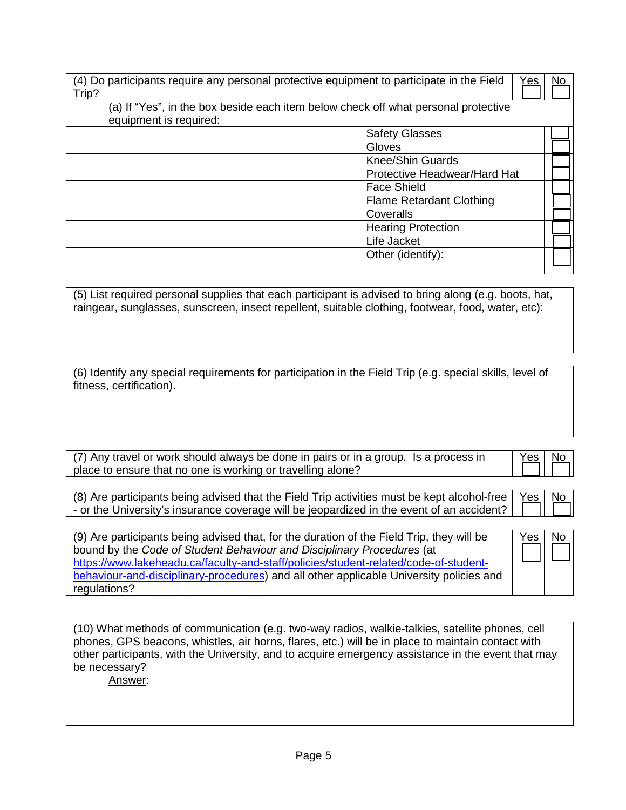| (4) Do participants require any personal protective equipment to participate in the Field<br>Yes<br>Trip? | No |
|-----------------------------------------------------------------------------------------------------------|----|
| (a) If "Yes", in the box beside each item below check off what personal protective                        |    |
| equipment is required:                                                                                    |    |
| <b>Safety Glasses</b>                                                                                     |    |
| Gloves                                                                                                    |    |
| <b>Knee/Shin Guards</b>                                                                                   |    |
| Protective Headwear/Hard Hat                                                                              |    |
| <b>Face Shield</b>                                                                                        |    |
| <b>Flame Retardant Clothing</b>                                                                           |    |
| Coveralls                                                                                                 |    |
| <b>Hearing Protection</b>                                                                                 |    |
| Life Jacket                                                                                               |    |
| Other (identify):                                                                                         |    |
|                                                                                                           |    |

(5) List required personal supplies that each participant is advised to bring along (e.g. boots, hat, raingear, sunglasses, sunscreen, insect repellent, suitable clothing, footwear, food, water, etc):

| (6) Identify any special requirements for participation in the Field Trip (e.g. special skills, level of |  |
|----------------------------------------------------------------------------------------------------------|--|
| fitness, certification).                                                                                 |  |

| (7) Any travel or work should always be done in pairs or in a group. Is a process in |  |
|--------------------------------------------------------------------------------------|--|
| place to ensure that no one is working or travelling alone?                          |  |

No

Yes | No

| (8) Are participants being advised that the Field Trip activities must be kept alcohol-free $\vert$ Yes $\vert$ No |  |
|--------------------------------------------------------------------------------------------------------------------|--|
| - or the University's insurance coverage will be jeopardized in the event of an accident? $\frac{1}{1}$            |  |

(9) Are participants being advised that, for the duration of the Field Trip, they will be bound by the *Code of Student Behaviour and Disciplinary Procedures* (at [https://www.lakeheadu.ca/faculty-and-staff/policies/student-related/code-of-student](https://www.lakeheadu.ca/faculty-and-staff/policies/student-related/code-of-student-behaviour-and-disciplinary-procedures)[behaviour-and-disciplinary-procedures\)](https://www.lakeheadu.ca/faculty-and-staff/policies/student-related/code-of-student-behaviour-and-disciplinary-procedures) and all other applicable University policies and regulations?

(10) What methods of communication (e.g. two-way radios, walkie-talkies, satellite phones, cell phones, GPS beacons, whistles, air horns, flares, etc.) will be in place to maintain contact with other participants, with the University, and to acquire emergency assistance in the event that may be necessary?

Answer: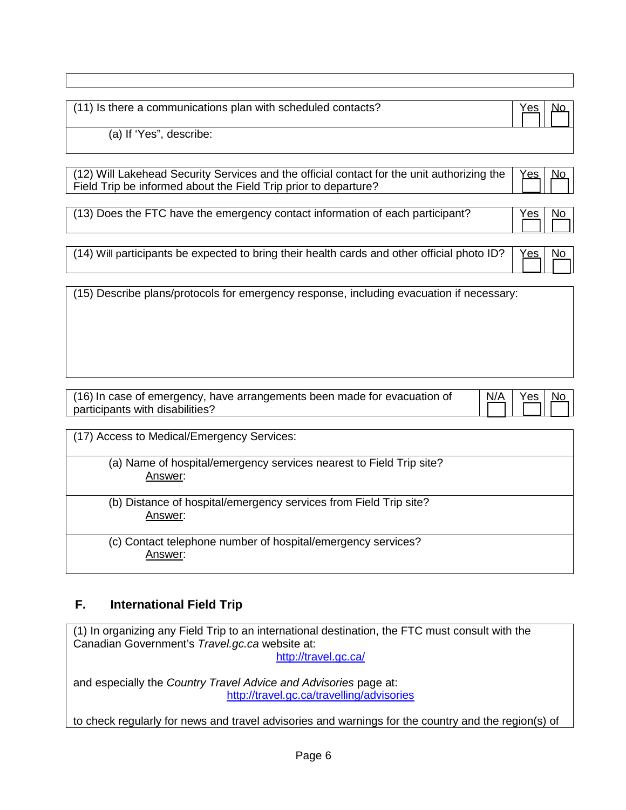| (11) Is there a communications plan with scheduled contacts? | Yes | No. |
|--------------------------------------------------------------|-----|-----|
| (a) If 'Yes", describe:                                      |     |     |

| (12) Will Lakehead Security Services and the official contact for the unit authorizing the $Yes$ No<br>Field Trip be informed about the Field Trip prior to departure?<br>Field Trip be informed about the Field Trip prior to departure? |  |
|-------------------------------------------------------------------------------------------------------------------------------------------------------------------------------------------------------------------------------------------|--|

(13) Does the FTC have the emergency contact information of each participant?  $|$  Yes  $|$  No

| (14) Will participants be expected to bring their health cards and other official photo ID? $\left \right.$ Yes No $\left \right.$ |  |
|------------------------------------------------------------------------------------------------------------------------------------|--|
|                                                                                                                                    |  |

(15) Describe plans/protocols for emergency response, including evacuation if necessary:

| (16) In case of emergency, have arrangements been made for evacuation of<br>participants with disabilities? | N/A | Yes  <br>- No |  |
|-------------------------------------------------------------------------------------------------------------|-----|---------------|--|
|-------------------------------------------------------------------------------------------------------------|-----|---------------|--|

(17) Access to Medical/Emergency Services:

(a) Name of hospital/emergency services nearest to Field Trip site? Answer:

(b) Distance of hospital/emergency services from Field Trip site? Answer:

(c) Contact telephone number of hospital/emergency services? Answer:

### **F. International Field Trip**

(1) In organizing any Field Trip to an international destination, the FTC must consult with the Canadian Government's *Travel.gc.ca* website at:

<http://travel.gc.ca/>

and especially the *Country Travel Advice and Advisories* page at: <http://travel.gc.ca/travelling/advisories>

to check regularly for news and travel advisories and warnings for the country and the region(s) of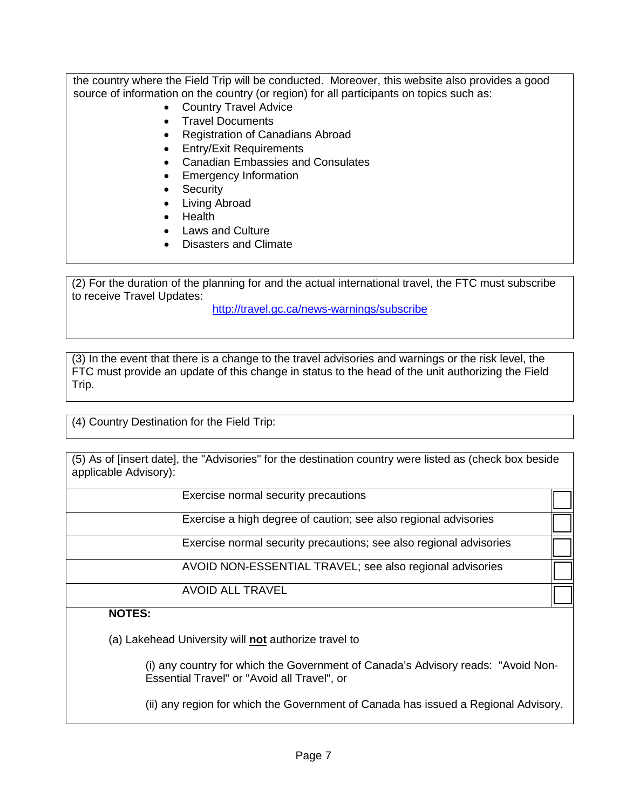the country where the Field Trip will be conducted. Moreover, this website also provides a good source of information on the country (or region) for all participants on topics such as:

- Country Travel Advice
- Travel Documents
- Registration of Canadians Abroad
- Entry/Exit Requirements
- Canadian Embassies and Consulates
- Emergency Information
- Security
- Living Abroad
- Health
- Laws and Culture
- Disasters and Climate

(2) For the duration of the planning for and the actual international travel, the FTC must subscribe to receive Travel Updates:

<http://travel.gc.ca/news-warnings/subscribe>

(3) In the event that there is a change to the travel advisories and warnings or the risk level, the FTC must provide an update of this change in status to the head of the unit authorizing the Field Trip.

(4) Country Destination for the Field Trip:

(5) As of [insert date], the "Advisories" for the destination country were listed as (check box beside applicable Advisory):

Exercise normal security precautions

Exercise a high degree of caution; see also regional advisories

Exercise normal security precautions; see also regional advisories

AVOID NON-ESSENTIAL TRAVEL; see also regional advisories

AVOID ALL TRAVEL

### **NOTES:**

(a) Lakehead University will **not** authorize travel to

(i) any country for which the Government of Canada's Advisory reads: "Avoid Non-Essential Travel" or "Avoid all Travel", or

(ii) any region for which the Government of Canada has issued a Regional Advisory.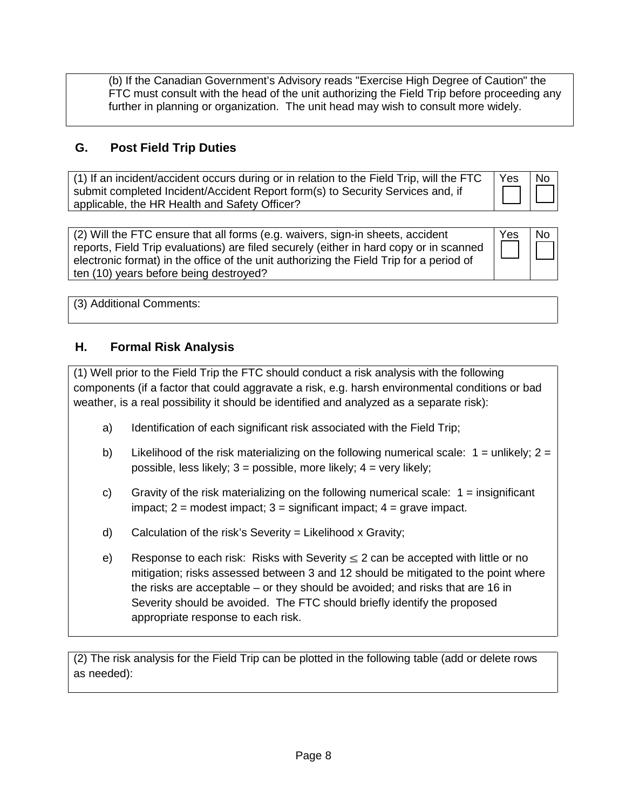(b) If the Canadian Government's Advisory reads "Exercise High Degree of Caution" the FTC must consult with the head of the unit authorizing the Field Trip before proceeding any further in planning or organization. The unit head may wish to consult more widely.

## **G. Post Field Trip Duties**

| (1) If an incident/accident occurs during or in relation to the Field Trip, will the FTC $\parallel$ Yes | l No |
|----------------------------------------------------------------------------------------------------------|------|
| submit completed Incident/Accident Report form(s) to Security Services and, if                           |      |
| applicable, the HR Health and Safety Officer?                                                            |      |

(2) Will the FTC ensure that all forms (e.g. waivers, sign-in sheets, accident reports, Field Trip evaluations) are filed securely (either in hard copy or in scanned electronic format) in the office of the unit authorizing the Field Trip for a period of ten (10) years before being destroyed? Yes | No

(3) Additional Comments:

### **H. Formal Risk Analysis**

(1) Well prior to the Field Trip the FTC should conduct a risk analysis with the following components (if a factor that could aggravate a risk, e.g. harsh environmental conditions or bad weather, is a real possibility it should be identified and analyzed as a separate risk):

- a) Identification of each significant risk associated with the Field Trip;
- b) Likelihood of the risk materializing on the following numerical scale:  $1 =$  unlikely;  $2 =$ possible, less likely;  $3 =$  possible, more likely;  $4 =$  very likely;
- c) Gravity of the risk materializing on the following numerical scale:  $1 =$  insignificant impact;  $2 =$  modest impact;  $3 =$  significant impact;  $4 =$  grave impact.
- d) Calculation of the risk's Severity = Likelihood x Gravity;
- e) Response to each risk: Risks with Severity  $\leq$  2 can be accepted with little or no mitigation; risks assessed between 3 and 12 should be mitigated to the point where the risks are acceptable – or they should be avoided; and risks that are 16 in Severity should be avoided. The FTC should briefly identify the proposed appropriate response to each risk.

(2) The risk analysis for the Field Trip can be plotted in the following table (add or delete rows as needed):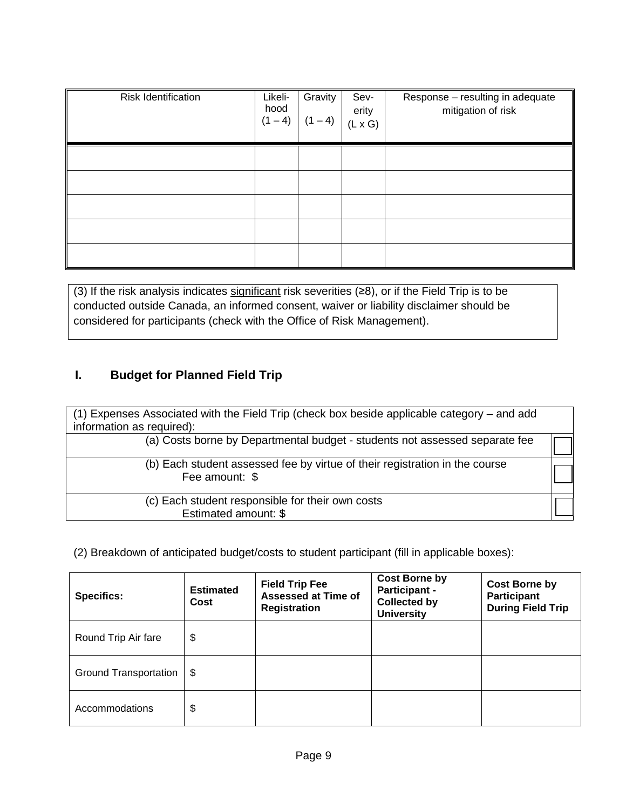| Risk Identification | Likeli-<br>hood<br>$(1 - 4)$ | Gravity<br>$(1 - 4)$ | Sev-<br>erity<br>$(L \times G)$ | Response - resulting in adequate<br>mitigation of risk |
|---------------------|------------------------------|----------------------|---------------------------------|--------------------------------------------------------|
|                     |                              |                      |                                 |                                                        |
|                     |                              |                      |                                 |                                                        |
|                     |                              |                      |                                 |                                                        |
|                     |                              |                      |                                 |                                                        |
|                     |                              |                      |                                 |                                                        |

(3) If the risk analysis indicates significant risk severities (≥8), or if the Field Trip is to be conducted outside Canada, an informed consent, waiver or liability disclaimer should be considered for participants (check with the Office of Risk Management).

## **I. Budget for Planned Field Trip**

| (1) Expenses Associated with the Field Trip (check box beside applicable category – and add<br>information as required): |  |
|--------------------------------------------------------------------------------------------------------------------------|--|
| (a) Costs borne by Departmental budget - students not assessed separate fee                                              |  |
| (b) Each student assessed fee by virtue of their registration in the course<br>Fee amount: \$                            |  |
| (c) Each student responsible for their own costs<br>Estimated amount: \$                                                 |  |

(2) Breakdown of anticipated budget/costs to student participant (fill in applicable boxes):

| <b>Specifics:</b>            | <b>Estimated</b><br>Cost | <b>Field Trip Fee</b><br><b>Assessed at Time of</b><br><b>Registration</b> | <b>Cost Borne by</b><br><b>Participant -</b><br><b>Collected by</b><br><b>University</b> | <b>Cost Borne by</b><br><b>Participant</b><br><b>During Field Trip</b> |
|------------------------------|--------------------------|----------------------------------------------------------------------------|------------------------------------------------------------------------------------------|------------------------------------------------------------------------|
| Round Trip Air fare          | \$                       |                                                                            |                                                                                          |                                                                        |
| <b>Ground Transportation</b> | -\$                      |                                                                            |                                                                                          |                                                                        |
| Accommodations               | \$                       |                                                                            |                                                                                          |                                                                        |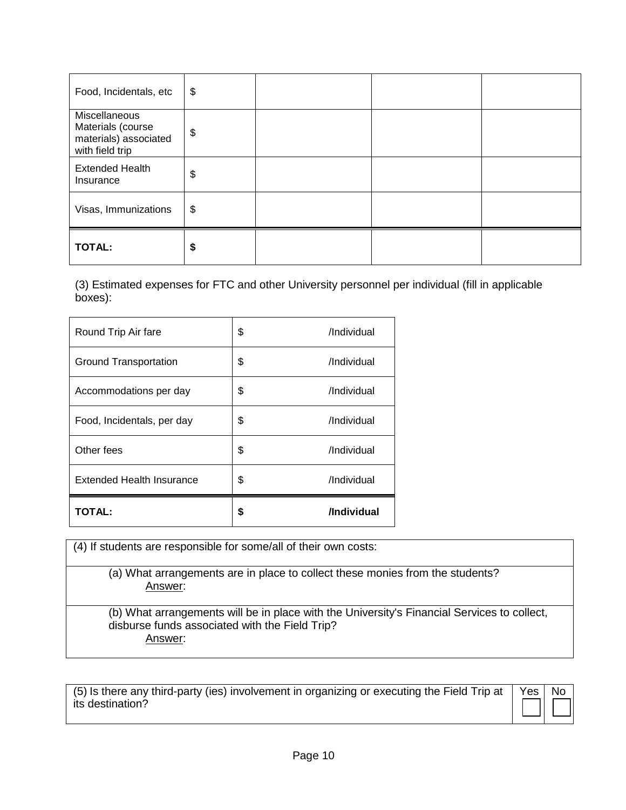| Food, Incidentals, etc                                                         | \$ |  |
|--------------------------------------------------------------------------------|----|--|
| Miscellaneous<br>Materials (course<br>materials) associated<br>with field trip | \$ |  |
| <b>Extended Health</b><br>Insurance                                            | \$ |  |
| Visas, Immunizations                                                           | \$ |  |
| <b>TOTAL:</b>                                                                  | \$ |  |

(3) Estimated expenses for FTC and other University personnel per individual (fill in applicable boxes):

| Round Trip Air fare              | \$ | /Individual |
|----------------------------------|----|-------------|
| <b>Ground Transportation</b>     | \$ | /Individual |
| Accommodations per day           | \$ | /Individual |
| Food, Incidentals, per day       | \$ | /Individual |
| Other fees                       | \$ | /Individual |
| <b>Extended Health Insurance</b> | \$ | /Individual |
| TOTAL:                           | S  | /Individual |

(4) If students are responsible for some/all of their own costs:

(a) What arrangements are in place to collect these monies from the students? Answer:

(b) What arrangements will be in place with the University's Financial Services to collect, disburse funds associated with the Field Trip? Answer:

(5) Is there any third-party (ies) involvement in organizing or executing the Field Trip at its destination? Yes | No